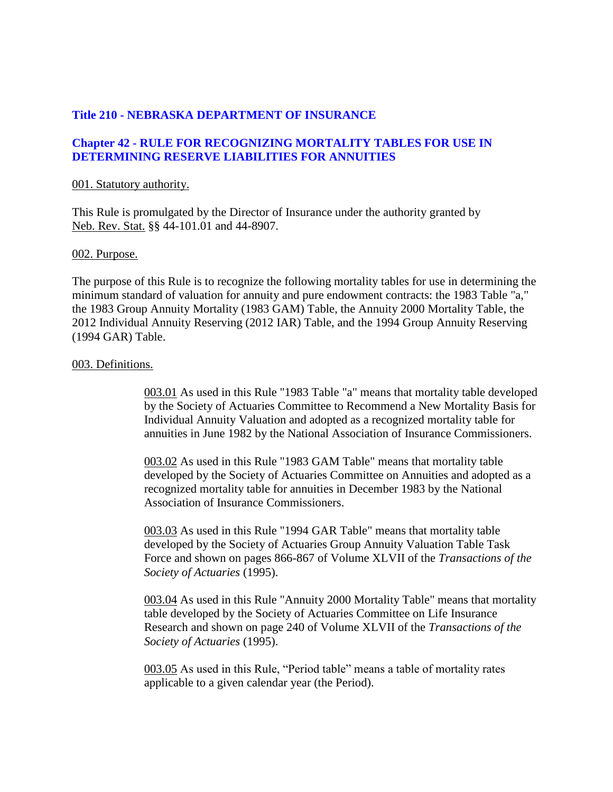### **Title 210 - NEBRASKA DEPARTMENT OF INSURANCE**

### **Chapter 42 - RULE FOR RECOGNIZING MORTALITY TABLES FOR USE IN DETERMINING RESERVE LIABILITIES FOR ANNUITIES**

#### 001. Statutory authority.

This Rule is promulgated by the Director of Insurance under the authority granted by Neb. Rev. Stat. §§ 44-101.01 and 44-8907.

#### 002. Purpose.

The purpose of this Rule is to recognize the following mortality tables for use in determining the minimum standard of valuation for annuity and pure endowment contracts: the 1983 Table "a," the 1983 Group Annuity Mortality (1983 GAM) Table, the Annuity 2000 Mortality Table, the 2012 Individual Annuity Reserving (2012 IAR) Table, and the 1994 Group Annuity Reserving (1994 GAR) Table.

#### 003. Definitions.

003.01 As used in this Rule "1983 Table "a" means that mortality table developed by the Society of Actuaries Committee to Recommend a New Mortality Basis for Individual Annuity Valuation and adopted as a recognized mortality table for annuities in June 1982 by the National Association of Insurance Commissioners.

003.02 As used in this Rule "1983 GAM Table" means that mortality table developed by the Society of Actuaries Committee on Annuities and adopted as a recognized mortality table for annuities in December 1983 by the National Association of Insurance Commissioners.

003.03 As used in this Rule "1994 GAR Table" means that mortality table developed by the Society of Actuaries Group Annuity Valuation Table Task Force and shown on pages 866-867 of Volume XLVII of the *Transactions of the Society of Actuaries* (1995).

003.04 As used in this Rule "Annuity 2000 Mortality Table" means that mortality table developed by the Society of Actuaries Committee on Life Insurance Research and shown on page 240 of Volume XLVII of the *Transactions of the Society of Actuaries* (1995).

003.05 As used in this Rule, "Period table" means a table of mortality rates applicable to a given calendar year (the Period).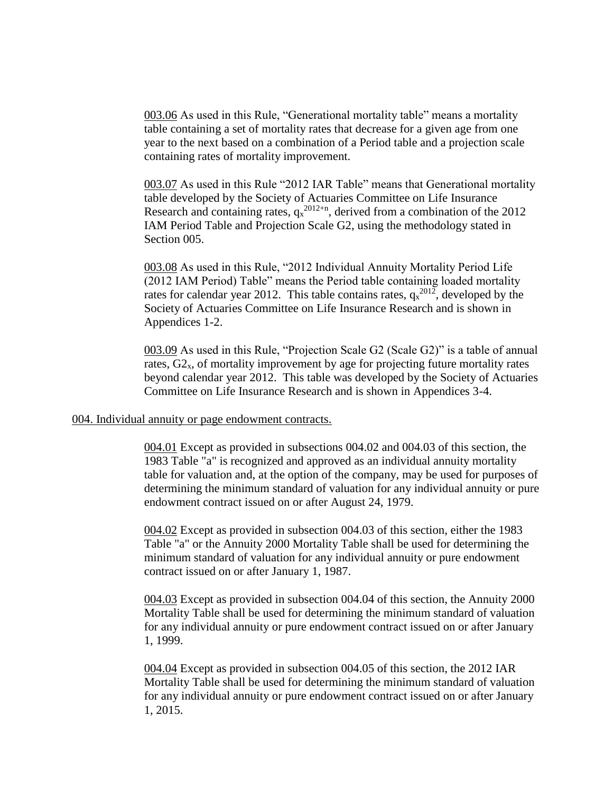003.06 As used in this Rule, "Generational mortality table" means a mortality table containing a set of mortality rates that decrease for a given age from one year to the next based on a combination of a Period table and a projection scale containing rates of mortality improvement.

003.07 As used in this Rule "2012 IAR Table" means that Generational mortality table developed by the Society of Actuaries Committee on Life Insurance Research and containing rates,  $q_x^{2012+n}$ , derived from a combination of the 2012 IAM Period Table and Projection Scale G2, using the methodology stated in Section 005.

003.08 As used in this Rule, "2012 Individual Annuity Mortality Period Life (2012 IAM Period) Table" means the Period table containing loaded mortality rates for calendar year 2012. This table contains rates,  $q_x^{2012}$ , developed by the Society of Actuaries Committee on Life Insurance Research and is shown in Appendices 1-2.

003.09 As used in this Rule, "Projection Scale G2 (Scale G2)" is a table of annual rates,  $G_{x}$ , of mortality improvement by age for projecting future mortality rates beyond calendar year 2012. This table was developed by the Society of Actuaries Committee on Life Insurance Research and is shown in Appendices 3-4.

#### 004. Individual annuity or page endowment contracts.

004.01 Except as provided in subsections 004.02 and 004.03 of this section, the 1983 Table "a" is recognized and approved as an individual annuity mortality table for valuation and, at the option of the company, may be used for purposes of determining the minimum standard of valuation for any individual annuity or pure endowment contract issued on or after August 24, 1979.

004.02 Except as provided in subsection 004.03 of this section, either the 1983 Table "a" or the Annuity 2000 Mortality Table shall be used for determining the minimum standard of valuation for any individual annuity or pure endowment contract issued on or after January 1, 1987.

004.03 Except as provided in subsection 004.04 of this section, the Annuity 2000 Mortality Table shall be used for determining the minimum standard of valuation for any individual annuity or pure endowment contract issued on or after January 1, 1999.

004.04 Except as provided in subsection 004.05 of this section, the 2012 IAR Mortality Table shall be used for determining the minimum standard of valuation for any individual annuity or pure endowment contract issued on or after January 1, 2015.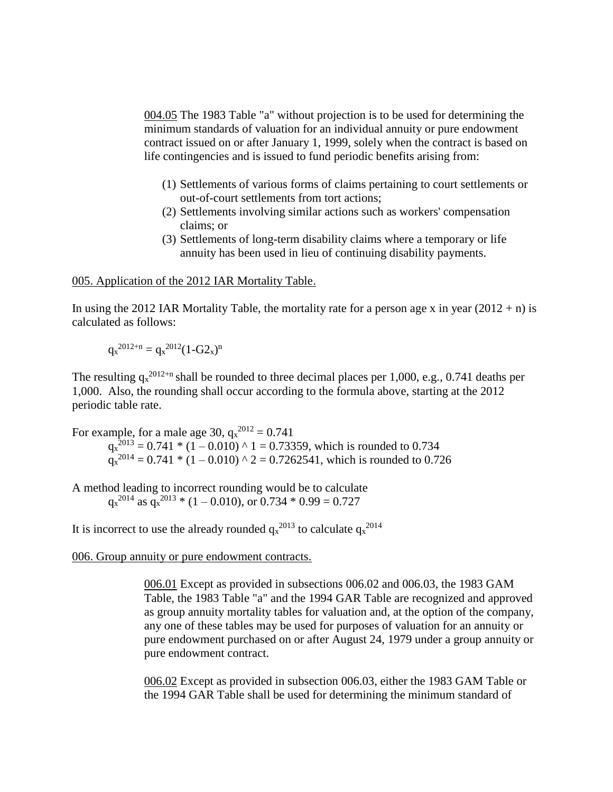004.05 The 1983 Table "a" without projection is to be used for determining the minimum standards of valuation for an individual annuity or pure endowment contract issued on or after January 1, 1999, solely when the contract is based on life contingencies and is issued to fund periodic benefits arising from:

- (1) Settlements of various forms of claims pertaining to court settlements or out-of-court settlements from tort actions;
- (2) Settlements involving similar actions such as workers' compensation claims; or
- (3) Settlements of long-term disability claims where a temporary or life annuity has been used in lieu of continuing disability payments.

#### 005. Application of the 2012 IAR Mortality Table.

In using the 2012 IAR Mortality Table, the mortality rate for a person age x in year  $(2012 + n)$  is calculated as follows:

$$
q_x^{2012+n} = q_x^{2012} (1-G2_x)^n
$$

The resulting  $q_x^{2012+n}$  shall be rounded to three decimal places per 1,000, e.g., 0.741 deaths per 1,000. Also, the rounding shall occur according to the formula above, starting at the 2012 periodic table rate.

For example, for a male age 30,  $q_x^{2012} = 0.741$  $q_x^{2013} = 0.741 * (1 - 0.010) * 1 = 0.73359$ , which is rounded to 0.734  $q_x^{2014} = 0.741 * (1 - 0.010) * 2 = 0.7262541$ , which is rounded to 0.726

A method leading to incorrect rounding would be to calculate  $q_x^{2014}$  as  $q_x^{2013}$  \* (1 – 0.010), or 0.734 \* 0.99 = 0.727

It is incorrect to use the already rounded  $q_x^{2013}$  to calculate  $q_x^{2014}$ 

#### 006. Group annuity or pure endowment contracts.

006.01 Except as provided in subsections 006.02 and 006.03, the 1983 GAM Table, the 1983 Table "a" and the 1994 GAR Table are recognized and approved as group annuity mortality tables for valuation and, at the option of the company, any one of these tables may be used for purposes of valuation for an annuity or pure endowment purchased on or after August 24, 1979 under a group annuity or pure endowment contract.

006.02 Except as provided in subsection 006.03, either the 1983 GAM Table or the 1994 GAR Table shall be used for determining the minimum standard of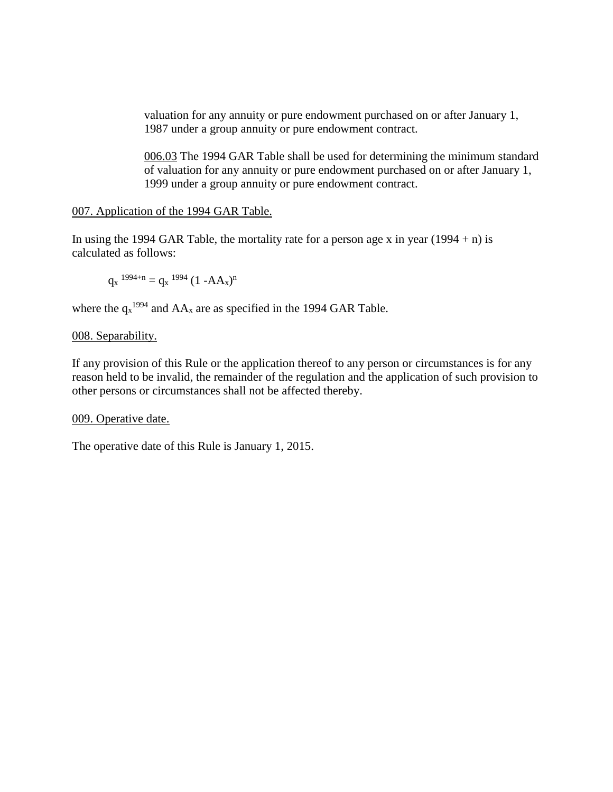valuation for any annuity or pure endowment purchased on or after January 1, 1987 under a group annuity or pure endowment contract.

006.03 The 1994 GAR Table shall be used for determining the minimum standard of valuation for any annuity or pure endowment purchased on or after January 1, 1999 under a group annuity or pure endowment contract.

#### 007. Application of the 1994 GAR Table.

In using the 1994 GAR Table, the mortality rate for a person age x in year  $(1994 + n)$  is calculated as follows:

$$
q_x^{1994+n} = q_x^{1994} (1 - AA_x)^n
$$

where the  $q_x^{1994}$  and  $AA_x$  are as specified in the 1994 GAR Table.

### 008. Separability.

If any provision of this Rule or the application thereof to any person or circumstances is for any reason held to be invalid, the remainder of the regulation and the application of such provision to other persons or circumstances shall not be affected thereby.

#### 009. Operative date.

The operative date of this Rule is January 1, 2015.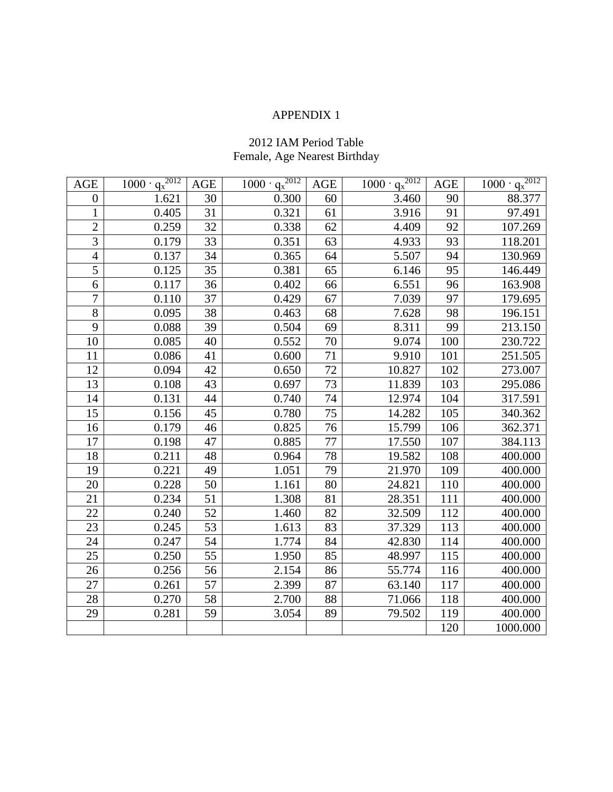# 2012 IAM Period Table Female, Age Nearest Birthday

| <b>AGE</b>       | $1000 \cdot q_x^{2012}$ | AGE             | $1000 \cdot q_x^{2012}$ | <b>AGE</b> | $1000 \cdot q_x^{2012}$ | <b>AGE</b> | $1000 \cdot q_x^{2012}$ |
|------------------|-------------------------|-----------------|-------------------------|------------|-------------------------|------------|-------------------------|
| $\boldsymbol{0}$ | 1.621                   | 30              | 0.300                   | 60         | 3.460                   | 90         | 88.377                  |
| $\mathbf{1}$     | 0.405                   | 31              | 0.321                   | 61         | 3.916                   | 91         | 97.491                  |
| $\overline{2}$   | 0.259                   | 32              | 0.338                   | 62         | 4.409                   | 92         | 107.269                 |
| $\overline{3}$   | 0.179                   | 33              | 0.351                   | 63         | 4.933                   | 93         | 118.201                 |
| $\overline{4}$   | 0.137                   | 34              | 0.365                   | 64         | 5.507                   | 94         | 130.969                 |
| $\overline{5}$   | 0.125                   | 35              | 0.381                   | 65         | 6.146                   | 95         | 146.449                 |
| 6                | 0.117                   | 36              | 0.402                   | 66         | 6.551                   | 96         | 163.908                 |
| $\overline{7}$   | 0.110                   | 37              | 0.429                   | 67         | 7.039                   | 97         | 179.695                 |
| $8\,$            | 0.095                   | 38              | 0.463                   | 68         | 7.628                   | 98         | 196.151                 |
| 9                | 0.088                   | 39              | 0.504                   | 69         | 8.311                   | 99         | 213.150                 |
| 10               | 0.085                   | 40              | 0.552                   | 70         | 9.074                   | 100        | 230.722                 |
| 11               | 0.086                   | 41              | 0.600                   | 71         | 9.910                   | 101        | 251.505                 |
| 12               | 0.094                   | 42              | 0.650                   | 72         | 10.827                  | 102        | 273.007                 |
| 13               | 0.108                   | 43              | 0.697                   | 73         | 11.839                  | 103        | 295.086                 |
| 14               | 0.131                   | 44              | 0.740                   | 74         | 12.974                  | 104        | 317.591                 |
| 15               | 0.156                   | 45              | 0.780                   | 75         | 14.282                  | 105        | 340.362                 |
| 16               | 0.179                   | 46              | 0.825                   | 76         | 15.799                  | 106        | 362.371                 |
| 17               | 0.198                   | 47              | 0.885                   | 77         | 17.550                  | 107        | 384.113                 |
| 18               | 0.211                   | 48              | 0.964                   | 78         | 19.582                  | 108        | 400.000                 |
| 19               | 0.221                   | 49              | 1.051                   | 79         | 21.970                  | 109        | 400.000                 |
| 20               | 0.228                   | 50              | 1.161                   | 80         | 24.821                  | 110        | 400.000                 |
| 21               | 0.234                   | 51              | 1.308                   | 81         | 28.351                  | 111        | 400.000                 |
| $\overline{22}$  | 0.240                   | 52              | 1.460                   | 82         | 32.509                  | 112        | 400.000                 |
| 23               | 0.245                   | 53              | 1.613                   | 83         | 37.329                  | 113        | 400.000                 |
| 24               | 0.247                   | 54              | 1.774                   | 84         | 42.830                  | 114        | 400.000                 |
| 25               | 0.250                   | $\overline{55}$ | 1.950                   | 85         | 48.997                  | 115        | 400.000                 |
| 26               | 0.256                   | 56              | 2.154                   | 86         | 55.774                  | 116        | 400.000                 |
| 27               | 0.261                   | 57              | 2.399                   | 87         | 63.140                  | 117        | 400.000                 |
| 28               | 0.270                   | 58              | 2.700                   | 88         | 71.066                  | 118        | 400.000                 |
| 29               | 0.281                   | 59              | 3.054                   | 89         | 79.502                  | 119        | 400.000                 |
|                  |                         |                 |                         |            |                         | 120        | 1000.000                |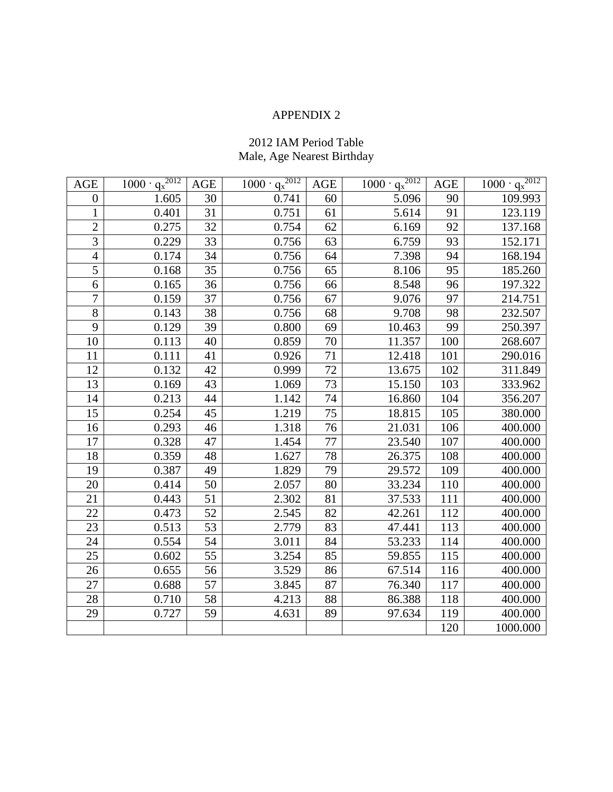# 2012 IAM Period Table Male, Age Nearest Birthday

| <b>AGE</b>       | $1000 \cdot q_x^{2012}$ | AGE             | $1000 \cdot q_x^{2012}$ | <b>AGE</b> | $1000 \cdot q_x^{2012}$ | <b>AGE</b> | $\frac{1000 \cdot q_x^{2012}}{q_x^{2012}}$ |
|------------------|-------------------------|-----------------|-------------------------|------------|-------------------------|------------|--------------------------------------------|
| $\boldsymbol{0}$ | 1.605                   | 30              | 0.741                   | 60         | 5.096                   | 90         | 109.993                                    |
| $\mathbf{1}$     | 0.401                   | 31              | 0.751                   | 61         | 5.614                   | 91         | 123.119                                    |
| $\overline{2}$   | 0.275                   | 32              | 0.754                   | 62         | 6.169                   | 92         | 137.168                                    |
| 3                | 0.229                   | 33              | 0.756                   | 63         | 6.759                   | 93         | 152.171                                    |
| $\overline{4}$   | 0.174                   | 34              | 0.756                   | 64         | 7.398                   | 94         | 168.194                                    |
| $\overline{5}$   | 0.168                   | 35              | 0.756                   | 65         | 8.106                   | 95         | 185.260                                    |
| 6                | 0.165                   | 36              | 0.756                   | 66         | 8.548                   | 96         | 197.322                                    |
| $\overline{7}$   | 0.159                   | 37              | 0.756                   | 67         | 9.076                   | 97         | 214.751                                    |
| $8\,$            | 0.143                   | 38              | 0.756                   | 68         | 9.708                   | 98         | 232.507                                    |
| 9                | 0.129                   | 39              | 0.800                   | 69         | 10.463                  | 99         | 250.397                                    |
| 10               | 0.113                   | 40              | 0.859                   | 70         | 11.357                  | 100        | 268.607                                    |
| 11               | 0.111                   | 41              | 0.926                   | 71         | 12.418                  | 101        | 290.016                                    |
| 12               | 0.132                   | 42              | 0.999                   | 72         | 13.675                  | 102        | 311.849                                    |
| 13               | 0.169                   | 43              | 1.069                   | 73         | 15.150                  | 103        | 333.962                                    |
| 14               | 0.213                   | 44              | 1.142                   | 74         | 16.860                  | 104        | 356.207                                    |
| 15               | 0.254                   | 45              | 1.219                   | 75         | 18.815                  | 105        | 380.000                                    |
| 16               | 0.293                   | 46              | 1.318                   | 76         | 21.031                  | 106        | 400.000                                    |
| 17               | 0.328                   | 47              | 1.454                   | 77         | 23.540                  | 107        | 400.000                                    |
| 18               | 0.359                   | 48              | 1.627                   | 78         | 26.375                  | 108        | 400.000                                    |
| 19               | 0.387                   | 49              | 1.829                   | 79         | 29.572                  | 109        | 400.000                                    |
| 20               | 0.414                   | 50              | 2.057                   | 80         | 33.234                  | 110        | 400.000                                    |
| 21               | 0.443                   | 51              | 2.302                   | 81         | 37.533                  | 111        | 400.000                                    |
| $\overline{22}$  | 0.473                   | 52              | 2.545                   | 82         | 42.261                  | 112        | 400.000                                    |
| 23               | 0.513                   | 53              | 2.779                   | 83         | 47.441                  | 113        | 400.000                                    |
| 24               | 0.554                   | 54              | 3.011                   | 84         | 53.233                  | 114        | 400.000                                    |
| 25               | 0.602                   | $\overline{55}$ | 3.254                   | 85         | 59.855                  | 115        | 400.000                                    |
| 26               | 0.655                   | 56              | 3.529                   | 86         | 67.514                  | 116        | 400.000                                    |
| 27               | 0.688                   | 57              | 3.845                   | 87         | 76.340                  | 117        | 400.000                                    |
| 28               | 0.710                   | 58              | 4.213                   | 88         | 86.388                  | 118        | 400.000                                    |
| 29               | 0.727                   | 59              | 4.631                   | 89         | 97.634                  | 119        | 400.000                                    |
|                  |                         |                 |                         |            |                         | 120        | 1000.000                                   |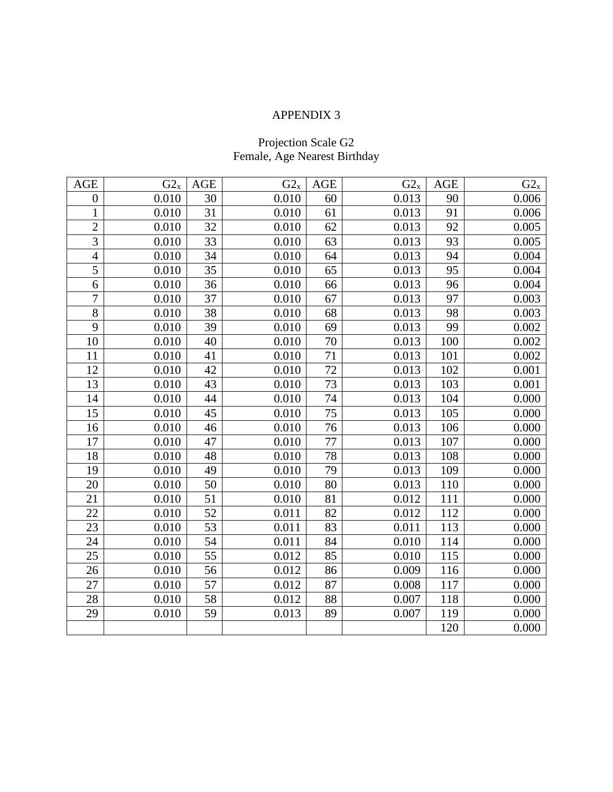### Projection Scale G2 Female, Age Nearest Birthday

| AGE              | $G2_x$ | AGE | $G2_x$ | <b>AGE</b>      | $G2_x$ | <b>AGE</b> | $G2_x$ |
|------------------|--------|-----|--------|-----------------|--------|------------|--------|
| $\boldsymbol{0}$ | 0.010  | 30  | 0.010  | 60              | 0.013  | 90         | 0.006  |
| $\mathbf{1}$     | 0.010  | 31  | 0.010  | 61              | 0.013  | 91         | 0.006  |
| $\overline{c}$   | 0.010  | 32  | 0.010  | 62              | 0.013  | 92         | 0.005  |
| 3                | 0.010  | 33  | 0.010  | 63              | 0.013  | 93         | 0.005  |
| $\overline{4}$   | 0.010  | 34  | 0.010  | 64              | 0.013  | 94         | 0.004  |
| $\overline{5}$   | 0.010  | 35  | 0.010  | 65              | 0.013  | 95         | 0.004  |
| 6                | 0.010  | 36  | 0.010  | 66              | 0.013  | 96         | 0.004  |
| $\tau$           | 0.010  | 37  | 0.010  | 67              | 0.013  | 97         | 0.003  |
| $8\,$            | 0.010  | 38  | 0.010  | 68              | 0.013  | 98         | 0.003  |
| 9                | 0.010  | 39  | 0.010  | 69              | 0.013  | 99         | 0.002  |
| 10               | 0.010  | 40  | 0.010  | 70              | 0.013  | 100        | 0.002  |
| 11               | 0.010  | 41  | 0.010  | 71              | 0.013  | 101        | 0.002  |
| 12               | 0.010  | 42  | 0.010  | 72              | 0.013  | 102        | 0.001  |
| 13               | 0.010  | 43  | 0.010  | 73              | 0.013  | 103        | 0.001  |
| 14               | 0.010  | 44  | 0.010  | 74              | 0.013  | 104        | 0.000  |
| 15               | 0.010  | 45  | 0.010  | $\overline{75}$ | 0.013  | 105        | 0.000  |
| 16               | 0.010  | 46  | 0.010  | 76              | 0.013  | 106        | 0.000  |
| 17               | 0.010  | 47  | 0.010  | 77              | 0.013  | 107        | 0.000  |
| 18               | 0.010  | 48  | 0.010  | 78              | 0.013  | 108        | 0.000  |
| 19               | 0.010  | 49  | 0.010  | 79              | 0.013  | 109        | 0.000  |
| 20               | 0.010  | 50  | 0.010  | 80              | 0.013  | 110        | 0.000  |
| 21               | 0.010  | 51  | 0.010  | 81              | 0.012  | 111        | 0.000  |
| 22               | 0.010  | 52  | 0.011  | 82              | 0.012  | 112        | 0.000  |
| 23               | 0.010  | 53  | 0.011  | 83              | 0.011  | 113        | 0.000  |
| 24               | 0.010  | 54  | 0.011  | 84              | 0.010  | 114        | 0.000  |
| 25               | 0.010  | 55  | 0.012  | 85              | 0.010  | 115        | 0.000  |
| 26               | 0.010  | 56  | 0.012  | 86              | 0.009  | 116        | 0.000  |
| 27               | 0.010  | 57  | 0.012  | 87              | 0.008  | 117        | 0.000  |
| 28               | 0.010  | 58  | 0.012  | 88              | 0.007  | 118        | 0.000  |
| 29               | 0.010  | 59  | 0.013  | 89              | 0.007  | 119        | 0.000  |
|                  |        |     |        |                 |        | 120        | 0.000  |